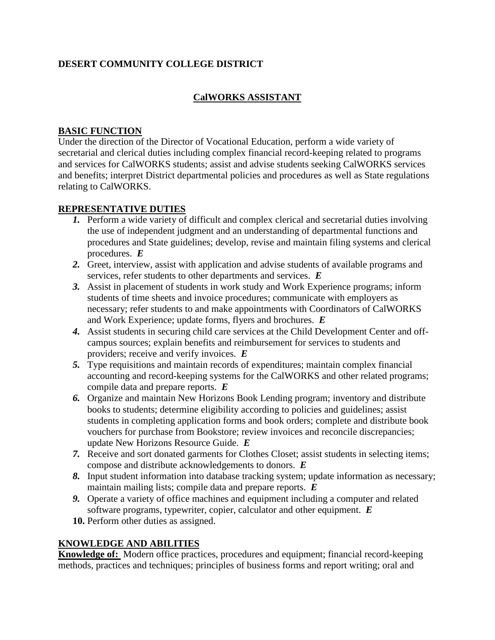# **DESERT COMMUNITY COLLEGE DISTRICT**

## **CalWORKS ASSISTANT**

## **BASIC FUNCTION**

Under the direction of the Director of Vocational Education, perform a wide variety of secretarial and clerical duties including complex financial record-keeping related to programs and services for CalWORKS students; assist and advise students seeking CalWORKS services and benefits; interpret District departmental policies and procedures as well as State regulations relating to CalWORKS.

## **REPRESENTATIVE DUTIES**

- *1.* Perform a wide variety of difficult and complex clerical and secretarial duties involving the use of independent judgment and an understanding of departmental functions and procedures and State guidelines; develop, revise and maintain filing systems and clerical procedures. *E*
- *2.* Greet, interview, assist with application and advise students of available programs and services, refer students to other departments and services. *E*
- *3.* Assist in placement of students in work study and Work Experience programs; inform students of time sheets and invoice procedures; communicate with employers as necessary; refer students to and make appointments with Coordinators of CalWORKS and Work Experience; update forms, flyers and brochures. *E*
- *4.* Assist students in securing child care services at the Child Development Center and offcampus sources; explain benefits and reimbursement for services to students and providers; receive and verify invoices. *E*
- *5.* Type requisitions and maintain records of expenditures; maintain complex financial accounting and record-keeping systems for the CalWORKS and other related programs; compile data and prepare reports. *E*
- *6.* Organize and maintain New Horizons Book Lending program; inventory and distribute books to students; determine eligibility according to policies and guidelines; assist students in completing application forms and book orders; complete and distribute book vouchers for purchase from Bookstore; review invoices and reconcile discrepancies; update New Horizons Resource Guide. *E*
- *7.* Receive and sort donated garments for Clothes Closet; assist students in selecting items; compose and distribute acknowledgements to donors. *E*
- *8.* Input student information into database tracking system; update information as necessary; maintain mailing lists; compile data and prepare reports. *E*
- *9.* Operate a variety of office machines and equipment including a computer and related software programs, typewriter, copier, calculator and other equipment. *E*
- **10.** Perform other duties as assigned.

## **KNOWLEDGE AND ABILITIES**

**Knowledge of:** Modern office practices, procedures and equipment; financial record-keeping methods, practices and techniques; principles of business forms and report writing; oral and